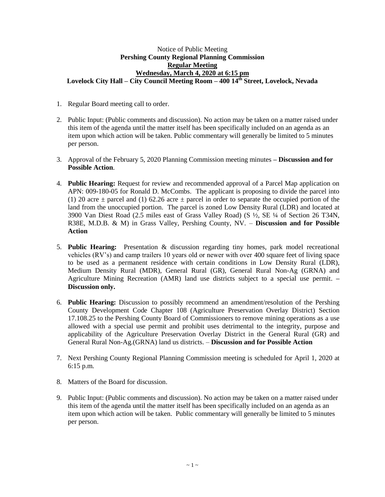## Notice of Public Meeting **Pershing County Regional Planning Commission Regular Meeting Wednesday, March 4, 2020 at 6:15 pm Lovelock City Hall – City Council Meeting Room – 400 14th Street, Lovelock, Nevada**

- 1. Regular Board meeting call to order.
- 2. Public Input: (Public comments and discussion). No action may be taken on a matter raised under this item of the agenda until the matter itself has been specifically included on an agenda as an item upon which action will be taken. Public commentary will generally be limited to 5 minutes per person.
- 3. Approval of the February 5, 2020 Planning Commission meeting minutes **– Discussion and for Possible Action**.
- 4. **Public Hearing:** Request for review and recommended approval of a Parcel Map application on APN: 009-180-05 for Ronald D. McCombs. The applicant is proposing to divide the parcel into (1) 20 acre  $\pm$  parcel and (1) 62.26 acre  $\pm$  parcel in order to separate the occupied portion of the land from the unoccupied portion. The parcel is zoned Low Density Rural (LDR) and located at 3900 Van Diest Road (2.5 miles east of Grass Valley Road) (S ½, SE ¼ of Section 26 T34N, R38E, M.D.B. & M) in Grass Valley, Pershing County, NV. – **Discussion and for Possible Action**
- 5. **Public Hearing:** Presentation & discussion regarding tiny homes, park model recreational vehicles (RV's) and camp trailers 10 years old or newer with over 400 square feet of living space to be used as a permanent residence with certain conditions in Low Density Rural (LDR), Medium Density Rural (MDR), General Rural (GR), General Rural Non-Ag (GRNA) and Agriculture Mining Recreation (AMR) land use districts subject to a special use permit. **– Discussion only.**
- 6. **Public Hearing:** Discussion to possibly recommend an amendment/resolution of the Pershing County Development Code Chapter 108 (Agriculture Preservation Overlay District) Section 17.108.25 to the Pershing County Board of Commissioners to remove mining operations as a use allowed with a special use permit and prohibit uses detrimental to the integrity, purpose and applicability of the Agriculture Preservation Overlay District in the General Rural (GR) and General Rural Non-Ag.(GRNA) land us districts. – **Discussion and for Possible Action**
- 7. Next Pershing County Regional Planning Commission meeting is scheduled for April 1, 2020 at 6:15 p.m.
- 8. Matters of the Board for discussion.
- 9. Public Input: (Public comments and discussion). No action may be taken on a matter raised under this item of the agenda until the matter itself has been specifically included on an agenda as an item upon which action will be taken. Public commentary will generally be limited to 5 minutes per person.